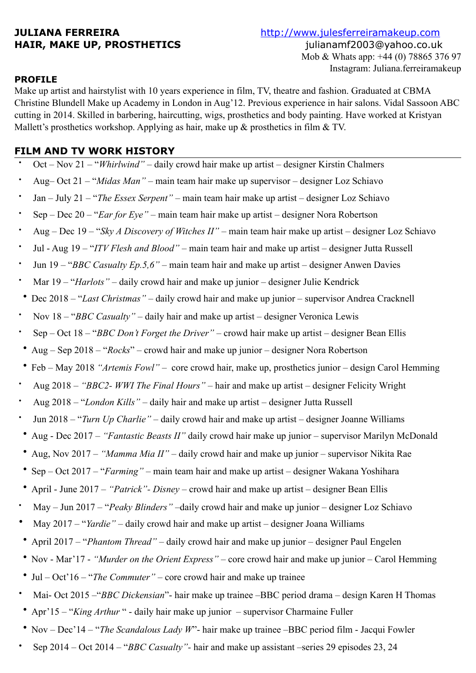**JULIANA FERREIRA** <http://www.julesferreiramakeup.com> **HAIR, MAKE UP, PROSTHETICS** julianamf2003@yahoo.co.uk Mob & Whats app: +44 (0) 78865 376 97 Instagram: Juliana.ferreiramakeup

## **PROFILE**

Make up artist and hairstylist with 10 years experience in film, TV, theatre and fashion. Graduated at CBMA Christine Blundell Make up Academy in London in Aug'12. Previous experience in hair salons. Vidal Sassoon ABC cutting in 2014. Skilled in barbering, haircutting, wigs, prosthetics and body painting. Have worked at Kristyan Mallett's prosthetics workshop. Applying as hair, make up & prosthetics in film & TV.

# **FILM AND TV WORK HISTORY**

- Oct Nov 21 "*Whirlwind"* daily crowd hair make up artist designer Kirstin Chalmers
- Aug– Oct 21 "*Midas Man"* main team hair make up supervisor designer Loz Schiavo
- Jan July 21 "*The Essex Serpent"* main team hair make up artist designer Loz Schiavo
- Sep Dec 20 "*Ear for Eye"* main team hair make up artist designer Nora Robertson
- Aug Dec 19 "*Sky A Discovery of Witches II"* main team hair make up artist designer Loz Schiavo
- Jul Aug 19 "*ITV Flesh and Blood"* main team hair and make up artist designer Jutta Russell
- Jun 19 "*BBC Casualty Ep.5,6"* main team hair and make up artist designer Anwen Davies
- Mar 19 "*Harlots"* daily crowd hair and make up junior designer Julie Kendrick
- Dec 2018 "*Last Christmas"* daily crowd hair and make up junior supervisor Andrea Cracknell
- Nov 18 "*BBC Casualty"* daily hair and make up artist designer Veronica Lewis
- Sep Oct 18 "*BBC Don't Forget the Driver"* crowd hair make up artist designer Bean Ellis
- Aug Sep 2018 "*Rocks*" crowd hair and make up junior designer Nora Robertson
- Feb May 2018 *"Artemis Fowl"* core crowd hair, make up, prosthetics junior design Carol Hemming
- Aug 2018 *"BBC2- WWI The Final Hours"* hair and make up artist designer Felicity Wright
- Aug 2018 "*London Kills"* daily hair and make up artist designer Jutta Russell
- Jun 2018 "*Turn Up Charlie"* daily crowd hair and make up artist designer Joanne Williams
- Aug Dec 2017 *"Fantastic Beasts II"* daily crowd hair make up junior supervisor Marilyn McDonald
- Aug, Nov 2017 *"Mamma Mia II"* daily crowd hair and make up junior supervisor Nikita Rae
- Sep Oct 2017 "*Farming"* main team hair and make up artist designer Wakana Yoshihara
- April June 2017 *"Patrick"- Disney* crowd hair and make up artist designer Bean Ellis
- May Jun 2017 "*Peaky Blinders"* –daily crowd hair and make up junior designer Loz Schiavo
- May 2017 "*Yardie"* daily crowd hair and make up artist designer Joana Williams
- April 2017 "*Phantom Thread"* daily crowd hair and make up junior designer Paul Engelen
- Nov Mar'17 *"Murder on the Orient Express"* core crowd hair and make up junior Carol Hemming
- Jul Oct'16 "*The Commuter"* core crowd hair and make up trainee
- Mai- Oct 2015 –"*BBC Dickensian*"- hair make up trainee –BBC period drama design Karen H Thomas
- Apr'15 "*King Arthur* " daily hair make up junior supervisor Charmaine Fuller
- Nov Dec'14 "*The Scandalous Lady W*"- hair make up trainee –BBC period film Jacqui Fowler
- Sep 2014 Oct 2014 "*BBC Casualty"-* hair and make up assistant –series 29 episodes 23, 24